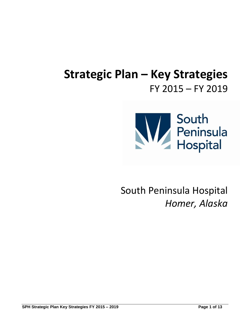# **Strategic Plan – Key Strategies** FY 2015 – FY 2019



South Peninsula Hospital *Homer, Alaska*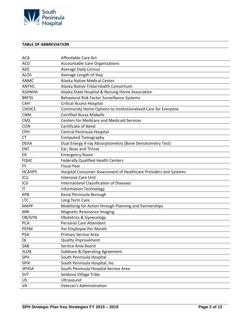

## **TABLE OF ABBREVIATION**

| <b>ACA</b>    | Affordable Care Act                                              |
|---------------|------------------------------------------------------------------|
| <b>ACO</b>    | <b>Accountable Care Organizations</b>                            |
| <b>ADC</b>    | <b>Average Daily Census</b>                                      |
| <b>ALOS</b>   | Average Length of Stay                                           |
| <b>ANMC</b>   | Alaska Native Medical Center                                     |
| <b>ANTHC</b>  | Alaska Native Tribal Health Consortium                           |
| <b>ASHNHA</b> | Alaska State Hospital & Nursing Home Association                 |
| <b>BRFSS</b>  | Behavioral Risk Factor Surveillance Systems                      |
| <b>CAH</b>    | <b>Critical Access Hospital</b>                                  |
| <b>CHOICE</b> | Community Home Options to Institutionalized Care for Everyone    |
| <b>CNM</b>    | <b>Certified Nurse Midwife</b>                                   |
| <b>CMS</b>    | <b>Centers for Medicare and Medicaid Services</b>                |
| <b>CON</b>    | <b>Certificate of Need</b>                                       |
| <b>CPH</b>    | Central Peninsula Hospital                                       |
| <b>CT</b>     | <b>Computed Tomography</b>                                       |
| <b>DEXA</b>   | Dual Energy X-ray Absorptiometry (Bone Densitometry Test)        |
| <b>ENT</b>    | Ear, Nose and Throat                                             |
| ER            | <b>Emergency Room</b>                                            |
| <b>FQHC</b>   | <b>Federally Qualified Health Centers</b>                        |
| <b>FY</b>     | <b>Fiscal Year</b>                                               |
| <b>HCAHPS</b> | Hospital Consumer Assessment of Healthcare Providers and Systems |
| ICU           | <b>Intensive Care Unit</b>                                       |
| ICD           | <b>International Classification of Diseases</b>                  |
| IT            | <b>Information Technology</b>                                    |
| <b>KPB</b>    | Kenai Peninsula Borough                                          |
| <b>LTC</b>    | Long Term Care                                                   |
| <b>MAPP</b>   | Mobilizing for Action through Planning and Partnerships          |
| <b>MRI</b>    | Magnetic Resonance Imaging                                       |
| OB/GYN        | Obstetrics & Gynecology                                          |
| <b>PCA</b>    | <b>Personal Care Attendant</b>                                   |
| <b>PEPM</b>   | Per Employee Per Month                                           |
| <b>PSA</b>    | <b>Primary Service Area</b>                                      |
| QI            | <b>Quality Improvement</b>                                       |
| SAB           | Service Area Board                                               |
| <b>SLOA</b>   | <b>Sublease &amp; Operating Agreement</b>                        |
| <b>SPH</b>    | South Peninsula Hospital                                         |
| <b>SPHI</b>   | South Peninsula Hospital, Inc.                                   |
| SPHSA         | South Peninsula Hospital Service Area                            |
| SVT           | Seldovia Village Tribe                                           |
| <b>US</b>     | Ultrasound                                                       |
| VA            | Veteran's Administration                                         |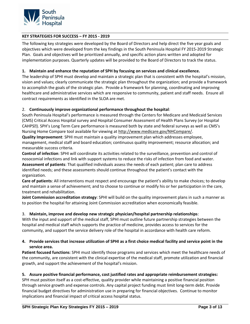

# **KEY STRATEGIES FOR SUCCESS – FY 2015 - 2019**

The following key strategies were developed by the Board of Directors and help direct the five year goals and objectives which were developed from the key findings in the South Peninsula Hospital FY 2015-2019 Strategic Plan. Goals and objectives will be prioritized annually, and specific action plans written and adopted for implementation purposes. Quarterly updates will be provided to the Board of Directors to track the status.

# **1. Maintain and enhance the reputation of SPH by focusing on services and clinical excellence.**

The leadership of SPHI must develop and maintain a strategic plan that is consistent with the hospital's mission, vision and values; clearly communicate the strategic plan throughout the organization; and provide a framework to accomplish the goals of the strategic plan. Provide a framework for planning, coordinating and improving healthcare and administrative services which are responsive to community, patient and staff needs. Ensure all contract requirements as identified in the SLOA are met.

## 2. **Continuously improve organizational performance throughout the hospital**:

South Peninsula Hospital's performance is measured through the Centers for Medicare and Medicaid Services (CMS) Critical Access Hospital survey and Hospital Consumer Assessment of Health Plans Survey (or Hospital CAHPS®). SPH's Long Term Care performance is measured both by state and federal surveys as well as CMS's Nursing Home Compare tool available for viewing at [http://www.medicare.gov/NHCompare/.](http://www.medicare.gov/NHCompare/)

**Quality Improvement**: SPHI must maintain a quality improvement plan which addresses employee, management, medical staff and board education; continuous quality improvement; resource allocation; and measurable success criteria.

**Control of infection**: SPHI will coordinate its activities related to the surveillance, prevention and control of nosocomial infections and link with support systems to reduce the risks of infection from food and water.

**Assessment of patients**: That qualified individuals assess the needs of each patient; plan care to address identified needs; and these assessments should continue throughout the patient's contact with the organization.

**Care of patients**: All interventions must respect and encourage the patient's ability to make choices; to develop and maintain a sense of achievement; and to choose to continue or modify his or her participation in the care, treatment and rehabilitation.

**Joint Commission accreditation strategy**: SPHI will build on the quality improvement plans in such a manner as to position the hospital for attaining Joint Commission accreditation when economically feasible.

## 3. **Maintain, improve and develop new strategic physician/hospital partnership relationships**:

With the input and support of the medical staff, SPHI must outline future partnership strategies between the hospital and medical staff which supports the practice of medicine, provides access to services for the community, and support the service delivery role of the hospital in accordance with health care reform.

# **4. Provide services that increase utilization of SPHI as a first choice medical facility and service point in the service area.**

**Patient focused functions**: SPHI must identify those programs and services which meet the healthcare needs of the community, are consistent with the clinical expertise of the medical staff, promote utilization and financial growth, and support the achievement of the hospital's mission.

## **5. Assure positive financial performance, cost justified rates and appropriate reimbursement strategies:**

SPH must position itself as a cost-effective, quality provider while maintaining a positive financial position through service growth and expense controls. Any capital project funding must limit long-term debt. Provide financial budget directives for administration use in preparing for financial objectives. Continue to monitor implications and financial impact of critical access hospital status.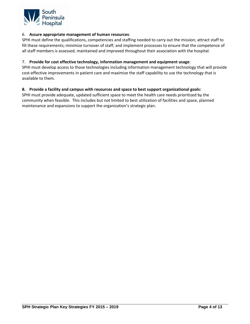

## 6. **Assure appropriate management of human resources**:

SPHI must define the qualifications, competencies and staffing needed to carry out the mission; attract staff to fill these requirements; minimize turnover of staff; and implement processes to ensure that the competence of all staff members is assessed, maintained and improved throughout their association with the hospital.

## 7. **Provide for cost effective technology, information management and equipment usage**:

SPHI must develop access to those technologies including information management technology that will provide cost-effective improvements in patient care and maximize the staff capability to use the technology that is available to them.

## **8. Provide a facility and campus with resources and space to best support organizational goals:**

SPHI must provide adequate, updated sufficient space to meet the health care needs prioritized by the community when feasible. This includes but not limited to best utilization of facilities and space, planned maintenance and expansions to support the organization's strategic plan.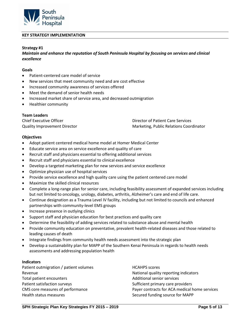

## **KEY STRATEGY IMPLEMENTATION**

## **Strategy #1**

*Maintain and enhance the reputation of South Peninsula Hospital by focusing on services and clinical excellence*

### **Goals**

- Patient-centered care model of service
- New services that meet community need and are cost effective
- Increased community awareness of services offered
- Meet the demand of senior health needs
- Increased market share of service area, and decreased outmigration
- Healthier community

#### **Team Leaders**

| <b>Chief Executive Officer</b>      | Director of Patient Care Services       |
|-------------------------------------|-----------------------------------------|
| <b>Quality Improvement Director</b> | Marketing, Public Relations Coordinator |

#### **Objectives**

- Adopt patient centered medical home model at Homer Medical Center
- Educate service area on service excellence and quality of care
- Recruit staff and physicians essential to offering additional services
- Recruit staff and physicians essential to clinical excellence
- Develop a targeted marketing plan for new services and service excellence
- Optimize physician use of hospital services
- Provide service excellence and high quality care using the patient centered care model
- Maximize the skilled clinical resources
- Complete a long-range plan for senior care, including feasibility assessment of expanded services including but not limited to oncology, urology, diabetes, arthritis, Alzheimer's care and end of life care.
- Continue designation as a Trauma Level IV facility, including but not limited to councils and enhanced partnerships with community-level EMS groups
- Increase presence in outlying clinics
- Support staff and physician education for best practices and quality care
- Determine the feasibility of adding services related to substance abuse and mental health
- Provide community education on preventative, prevalent health-related diseases and those related to leading causes of death
- Integrate findings from community health needs assessment into the strategic plan
- Develop a sustainability plan for MAPP of the Southern Kenai Peninsula in regards to health needs assessments and addressing population health

## **Indicators**

Patient outmigration / patient volumes Revenue Total patient encounters Patient satisfaction surveys CMS core measures of performance Health status measures

HCAHPS scores National quality reporting indicators Additional senior services Sufficient primary care providers Payer contracts for ACA medical home services Secured funding source for MAPP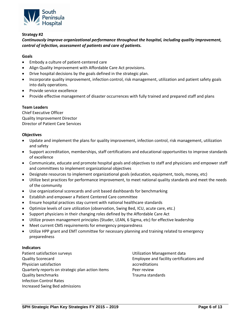

*Continuously improve organizational performance throughout the hospital, including quality improvement, control of infection, assessment of patients and care of patients.*

# **Goals**

- Embody a culture of patient-centered care
- Align Quality Improvement with Affordable Care Act provisions.
- Drive hospital decisions by the goals defined in the strategic plan.
- Incorporate quality improvement, infection control, risk management, utilization and patient safety goals into daily operations.
- Provide service excellence
- Provide effective management of disaster occurrences with fully trained and prepared staff and plans

## **Team Leaders**

Chief Executive Officer Quality Improvement Director Director of Patient Care Services

## **Objectives**

- Update and implement the plans for quality improvement, infection control, risk management, utilization and safety
- Support accreditation, memberships, staff certifications and educational opportunities to improve standards of excellence
- Communicate, educate and promote hospital goals and objectives to staff and physicians and empower staff and committees to implement organizational objectives
- Designate resources to implement organizational goals (education, equipment, tools, money, etc)
- Utilize best practices for performance improvement, to meet national quality standards and meet the needs of the community
- Use organizational scorecards and unit based dashboards for benchmarking
- Establish and empower a Patient Centered Care committee
- Ensure hospital practices stay current with national healthcare standards
- Optimize levels of care utilization (observation, Swing Bed, ICU, acute care, etc.)
- Support physicians in their changing roles defined by the Affordable Care Act
- Utilize proven management principles (Studer, LEAN, 6 Sigma, etc) for effective leadership
- Meet current CMS requirements for emergency preparedness
- Utilize HPP grant and EMT committee for necessary planning and training related to emergency preparedness

## **Indicators**

Patient satisfaction surveys Quality Scorecard Physician satisfaction Quarterly reports on strategic plan action items Quality benchmarks Infection Control Rates Increased Swing Bed admissions

Utilization Management data Employee and facility certifications and accreditations Peer review Trauma standards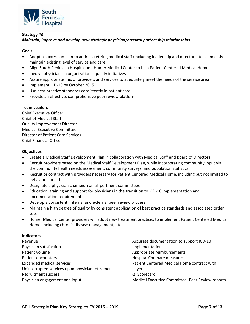

# *Maintain, improve and develop new strategic physician/hospital partnership relationships*

# **Goals**

- Adopt a succession plan to address retiring medical staff (including leadership and directors) to seamlessly maintain existing level of service and care
- Align South Peninsula Hospital and Homer Medical Center to be a Patient Centered Medical Home
- Involve physicians in organizational quality initiatives
- Assure appropriate mix of providers and services to adequately meet the needs of the service area
- Implement ICD-10 by October 2015
- Use best-practice standards consistently in patient care
- Provide an effective, comprehensive peer review platform

## **Team Leaders**

Chief Executive Officer Chief of Medical Staff Quality Improvement Director Medical Executive Committee Director of Patient Care Services Chief Financial Officer

## **Objectives**

- Create a Medical Staff Development Plan in collaboration with Medical Staff and Board of Directors
- Recruit providers based on the Medical Staff Development Plan, while incorporating community input via the community health needs assessment, community surveys, and population statistics
- Recruit or contract with providers necessary for Patient Centered Medical Home, including but not limited to behavioral health
- Designate a physician champion on all pertinent committees
- Education, training and support for physicians in the transition to ICD-10 implementation and documentation requirement
- Develop a consistent, internal and external peer review process
- Maintain a high degree of quality by consistent application of best practice standards and associated order sets
- Homer Medical Center providers will adopt new treatment practices to implement Patient Centered Medical Home, including chronic disease management, etc.

#### **Indicators**

| Revenue                                          | Accurate documentation to support ICD-10        |
|--------------------------------------------------|-------------------------------------------------|
| Physician satisfaction                           | implementation                                  |
| Patient volume                                   | Appropriate reimbursements                      |
| Patient encounters                               | <b>Hospital Compare measures</b>                |
| <b>Expanded medical services</b>                 | Patient Centered Medical Home contract with     |
| Uninterrupted services upon physician retirement | payers                                          |
| <b>Recruitment success</b>                       | QI Scorecard                                    |
| Physician engagement and input                   | Medical Executive Committee-Peer Review reports |
|                                                  |                                                 |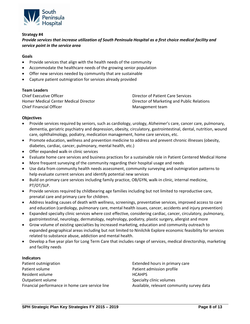

*Provide services that increase utilization of South Peninsula Hospital as a first choice medical facility and service point in the service area*

# **Goals**

- Provide services that align with the health needs of the community
- Accommodate the healthcare needs of the growing senior population
- Offer new services needed by community that are sustainable
- Capture patient outmigration for services already provided

#### **Team Leaders**

| <b>Chief Executive Officer</b>        | Director of Patient Care Services          |
|---------------------------------------|--------------------------------------------|
| Homer Medical Center Medical Director | Director of Marketing and Public Relations |
| <b>Chief Financial Officer</b>        | Management team                            |

#### **Objectives**

- Provide services required by seniors, such as cardiology, urology, Alzheimer's care, cancer care, pulmonary, dementia, geriatric psychiatry and depression, obesity, circulatory, gastrointestinal, dental, nutrition, wound care, ophthalmology, podiatry, medication management, home care services, etc.
- Promote education, wellness and prevention medicine to address and prevent chronic illnesses (obesity, diabetes, cardiac, cancer, pulmonary, mental health, etc.)
- Offer expanded walk-in clinic services
- Evaluate home care services and business practices for a sustainable role in Patient Centered Medical Home
- More frequent surveying of the community regarding their hospital usage and needs
- Use data from community health needs assessment, community surveying and outmigration patterns to help evaluate current services and identify potential new services
- Build on primary care services including family practice, OB/GYN, walk-in clinic, internal medicine, PT/OT/SLP.
- Provide services required by childbearing age families including but not limited to reproductive care, prenatal care and primary care for children.
- Address leading causes of death with wellness, screenings, preventative services, improved access to care and education (cardiology, pulmonary care, mental health issues, cancer, accidents and injury prevention)
- Expanded specialty clinic services where cost effective, considering cardiac, cancer, circulatory, pulmonary, gastrointestinal, neurology, dermatology, nephrology, podiatry, plastic surgery, allergist and more
- Grow volume of existing specialties by increased marketing, education and community outreach to expanded geographical areas including but not limited to Ninilchik Explore economic feasibility for services related to substance abuse, addiction and mental health.
- Develop a five year plan for Long Term Care that includes range of services, medical directorship, marketing and facility needs

#### **Indicators**

Patient outmigration Patient volume Resident volume Outpatient volume Financial performance in home care service line

Extended hours in primary care Patient admission profile **HCAHPS** Specialty clinic volumes Available, relevant community survey data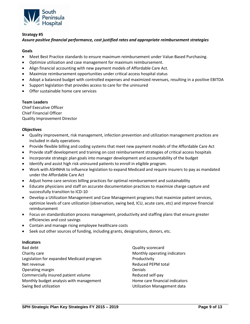

# *Assure positive financial performance, cost justified rates and appropriate reimbursement strategies*

# **Goals**

- Meet Best Practice standards to ensure maximum reimbursement under Value-Based Purchasing.
- Optimize utilization and case management for maximum reimbursement.
- Align financial accounting with new payment models of Affordable Care Act.
- Maximize reimbursement opportunities under critical access hospital status
- Adopt a balanced budget with controlled expenses and maximized revenues, resulting in a positive EBITDA
- Support legislation that provides access to care for the uninsured
- Offer sustainable home care services

## **Team Leaders**

Chief Executive Officer Chief Financial Officer Quality Improvement Director

## **Objectives**

- Quality improvement, risk management, infection prevention and utilization management practices are included in daily operations
- Provide flexible billing and coding systems that meet new payment models of the Affordable Care Act
- Provide staff development and training on cost reimbursement strategies of critical access hospitals
- Incorporate strategic plan goals into manager development and accountability of the budget
- Identify and assist high risk uninsured patients to enroll in eligible program.
- Work with ASHNHA to influence legislation to expand Medicaid and require insurers to pay as mandated under the Affordable Care Act
- Adjust home care services billing practices for optimal reimbursement and sustainability
- Educate physicians and staff on accurate documentation practices to maximize charge capture and successfully transition to ICD-10
- Develop a Utilization Management and Case Management programs that maximize patient services, optimize levels of care utilization (observation, swing bed, ICU, acute care, etc) and improve financial reimbursement
- Focus on standardization process management, productivity and staffing plans that ensure greater efficiencies and cost savings
- Contain and manage rising employee healthcare costs
- Seek out other sources of funding, including grants, designations, donors, etc.

## **Indicators**

Bad debt Charity care Legislation for expanded Medicaid program Net revenue Operating margin Commercially insured patient volume Monthly budget analysis with management Swing Bed utilization

Quality scorecard Monthly operating indicators Productivity Reduced PEPM total **Denials** Reduced self-pay Home care financial indicators Utilization Management data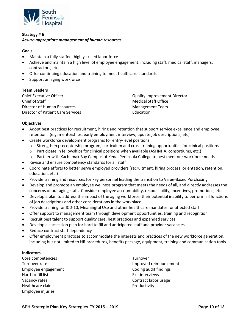

# **Strategy # 6** *Assure appropriate management of human resources*

## **Goals**

- Maintain a fully staffed, highly skilled labor force
- Achieve and maintain a high level of employee engagement, including staff, medical staff, managers, contractors, etc.
- Offer continuing education and training to meet healthcare standards
- Support an aging workforce

## **Team Leaders**

| Chief Executive Officer           | <b>Quality Improvement Director</b> |
|-----------------------------------|-------------------------------------|
| Chief of Staff                    | Medical Staff Office                |
| Director of Human Resources       | Management Team                     |
| Director of Patient Care Services | Education                           |

## **Objectives**

- Adopt best practices for recruitment, hiring and retention that support service excellence and employee retention. (e.g. mentorships, early employment interview, update job descriptions, etc)
- Create workforce development programs for entry-level positions
	- o Strengthen preceptorship program, curriculum and cross training opportunities for clinical positions
	- o Participate in fellowships for clinical positions when available (ASHNHA, consortiums, etc.)
	- o Partner with Kachemak Bay Campus of Kenai Peninsula College to best meet our workforce needs
- Revise and ensure competency standards for all staff
- Coordinate efforts to better serve employed providers (recruitment, hiring process, orientation, retention, education, etc.)
- Provide training and resources for key personnel leading the transition to Value-Based Purchasing
- Develop and promote an employee wellness program that meets the needs of all, and directly addresses the concerns of our aging staff. Consider employee accountability, responsibility, incentives, promotions, etc.
- Develop a plan to address the impact of the aging workforce, their potential inability to perform all functions of job descriptions and other considerations in the workplace
- Provide training for ICD-10, Meaningful Use and other healthcare mandates for affected staff
- Offer support to management team through development opportunities, training and recognition
- Recruit best talent to support quality care, best practices and expanded services
- Develop a succession plan for hard to fill and anticipated staff and provider vacancies
- Reduce contract staff dependency
- Offer employment practices to accommodate the interests and practices of the new workforce generation, including but not limited to HR procedures, benefits package, equipment, training and communication tools

### **Indicators**

Core competencies Turnover rate Employee engagement Hard-to-fill list Vacancy rates Healthcare claims Employee injuries

Turnover Improved reimbursement Coding audit findings Exit interviews Contract labor usage Productivity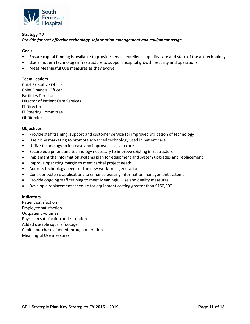

# **Strategy # 7** *Provide for cost effective technology, information management and equipment usage*

# **Goals**

- Ensure capital funding is available to provide service excellence, quality care and state of the art technology
- Use a modern technology infrastructure to support hospital growth, security and operations
- Meet Meaningful Use measures as they evolve

## **Team Leaders**

Chief Executive Officer Chief Financial Officer Facilities Director Director of Patient Care Services IT Director IT Steering Committee QI Director

## **Objectives**

- Provide staff training, support and customer service for improved utilization of technology
- Use niche marketing to promote advanced technology used in patient care
- Utilize technology to increase and improve access to care
- Secure equipment and technology necessary to improve existing infrastructure
- Implement the information systems plan for equipment and system upgrades and replacement
- Improve operating margin to meet capital project needs
- Address technology needs of the new workforce generation
- Consider systems applications to enhance existing information management systems
- Provide ongoing staff training to meet Meaningful Use and quality measures
- Develop a replacement schedule for equipment costing greater than \$150,000.

#### **Indicators**

Patient satisfaction Employee satisfaction Outpatient volumes Physician satisfaction and retention Added useable square footage Capital purchases funded through operations Meaningful Use measures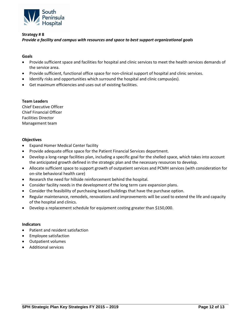

# **Strategy # 8** *Provide a facility and campus with resources and space to best support organizational goals*

# **Goals**

- Provide sufficient space and facilities for hospital and clinic services to meet the health services demands of the service area.
- Provide sufficient, functional office space for non-clinical support of hospital and clinic services.
- Identify risks and opportunities which surround the hospital and clinic campus(es).
- Get maximum efficiencies and uses out of existing facilities.

## **Team Leaders**

Chief Executive Officer Chief Financial Officer Facilities Director Management team

## **Objectives**

- Expand Homer Medical Center facility
- Provide adequate office space for the Patient Financial Services department.
- Develop a long-range facilities plan, including a specific goal for the shelled space, which takes into account the anticipated growth defined in the strategic plan and the necessary resources to develop.
- Allocate sufficient space to support growth of outpatient services and PCMH services (with consideration for on-site behavioral health care)
- Research the need for hillside reinforcement behind the hospital.
- Consider facility needs in the development of the long term care expansion plans.
- Consider the feasibility of purchasing leased buildings that have the purchase option.
- Regular maintenance, remodels, renovations and improvements will be used to extend the life and capacity of the hospital and clinics.
- Develop a replacement schedule for equipment costing greater than \$150,000.

#### **Indicators**

- Patient and resident satisfaction
- Employee satisfaction
- Outpatient volumes
- Additional services